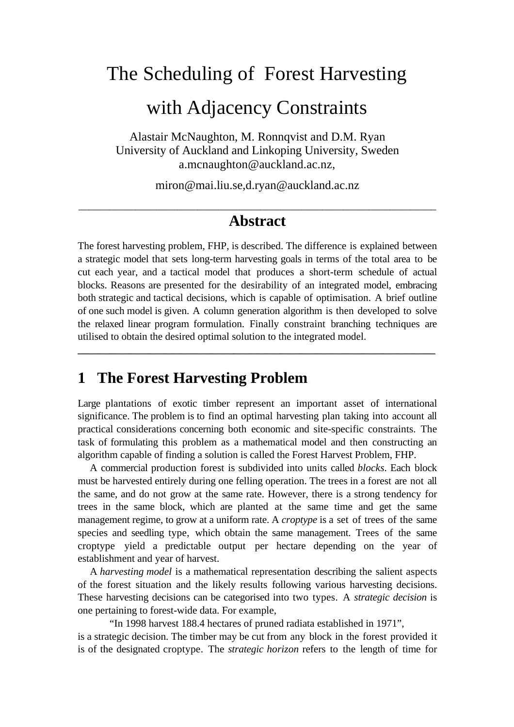# The Scheduling of Forest Harvesting

## with Adjacency Constraints

Alastair McNaughton, M. Ronnqvist and D.M. Ryan University of Auckland and Linkoping University, Sweden a.mcnaughton@auckland.ac.nz,

miron@mai.liu.se,d.ryan@auckland.ac.nz

#### \_\_\_\_\_\_\_\_\_\_\_\_\_\_\_\_\_\_\_\_\_\_\_\_\_\_\_\_\_\_\_\_\_\_\_\_\_\_\_\_\_\_\_\_\_\_\_\_\_\_\_\_\_\_\_\_\_\_\_\_\_\_\_\_\_\_\_\_\_ **Abstract**

The forest harvesting problem, FHP, is described. The difference is explained between a strategic model that sets long-term harvesting goals in terms of the total area to be cut each year, and a tactical model that produces a short-term schedule of actual blocks. Reasons are presented for the desirability of an integrated model, embracing both strategic and tactical decisions, which is capable of optimisation. A brief outline of one such model is given. A column generation algorithm is then developed to solve the relaxed linear program formulation. Finally constraint branching techniques are utilised to obtain the desired optimal solution to the integrated model.

**\_\_\_\_\_\_\_\_\_\_\_\_\_\_\_\_\_\_\_\_\_\_\_\_\_\_\_\_\_\_\_\_\_\_\_\_\_\_\_\_\_\_\_\_\_\_\_\_\_\_\_\_\_\_\_\_\_\_\_\_\_\_\_\_\_\_\_\_\_**

## **1 The Forest Harvesting Problem**

Large plantations of exotic timber represent an important asset of international significance. The problem is to find an optimal harvesting plan taking into account all practical considerations concerning both economic and site-specific constraints. The task of formulating this problem as a mathematical model and then constructing an algorithm capable of finding a solution is called the Forest Harvest Problem, FHP.

A commercial production forest is subdivided into units called *blocks*. Each block must be harvested entirely during one felling operation. The trees in a forest are not all the same, and do not grow at the same rate. However, there is a strong tendency for trees in the same block, which are planted at the same time and get the same management regime, to grow at a uniform rate. A *croptype* is a set of trees of the same species and seedling type, which obtain the same management. Trees of the same croptype yield a predictable output per hectare depending on the year of establishment and year of harvest.

A *harvesting model* is a mathematical representation describing the salient aspects of the forest situation and the likely results following various harvesting decisions. These harvesting decisions can be categorised into two types. A *strategic decision* is one pertaining to forest-wide data. For example,

"In 1998 harvest 188.4 hectares of pruned radiata established in 1971", is a strategic decision. The timber may be cut from any block in the forest provided it is of the designated croptype. The *strategic horizon* refers to the length of time for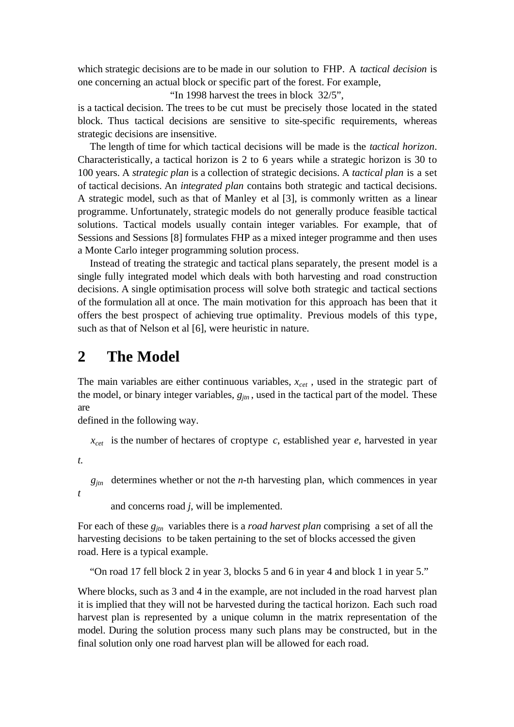which strategic decisions are to be made in our solution to FHP. A *tactical decision* is one concerning an actual block or specific part of the forest. For example,

"In 1998 harvest the trees in block 32/5",

is a tactical decision. The trees to be cut must be precisely those located in the stated block. Thus tactical decisions are sensitive to site-specific requirements, whereas strategic decisions are insensitive.

The length of time for which tactical decisions will be made is the *tactical horizon*. Characteristically, a tactical horizon is 2 to 6 years while a strategic horizon is 30 to 100 years. A *strategic plan* is a collection of strategic decisions. A *tactical plan* is a set of tactical decisions. An *integrated plan* contains both strategic and tactical decisions. A strategic model, such as that of Manley et al [3], is commonly written as a linear programme. Unfortunately, strategic models do not generally produce feasible tactical solutions. Tactical models usually contain integer variables. For example, that of Sessions and Sessions [8] formulates FHP as a mixed integer programme and then uses a Monte Carlo integer programming solution process.

Instead of treating the strategic and tactical plans separately, the present model is a single fully integrated model which deals with both harvesting and road construction decisions. A single optimisation process will solve both strategic and tactical sections of the formulation all at once. The main motivation for this approach has been that it offers the best prospect of achieving true optimality. Previous models of this type, such as that of Nelson et al [6], were heuristic in nature.

## **2 The Model**

The main variables are either continuous variables, *xcet* , used in the strategic part of the model, or binary integer variables,  $g_{im}$ , used in the tactical part of the model. These are

defined in the following way.

 *xcet* is the number of hectares of croptype *c*, established year *e*, harvested in year

*t*.

*t*

 $g_{jtn}$  determines whether or not the *n*-th harvesting plan, which commences in year

and concerns road *j*, will be implemented.

For each of these *gjtn* variables there is a *road harvest plan* comprising a set of all the harvesting decisions to be taken pertaining to the set of blocks accessed the given road. Here is a typical example.

"On road 17 fell block 2 in year 3, blocks 5 and 6 in year 4 and block 1 in year 5."

Where blocks, such as 3 and 4 in the example, are not included in the road harvest plan it is implied that they will not be harvested during the tactical horizon. Each such road harvest plan is represented by a unique column in the matrix representation of the model. During the solution process many such plans may be constructed, but in the final solution only one road harvest plan will be allowed for each road.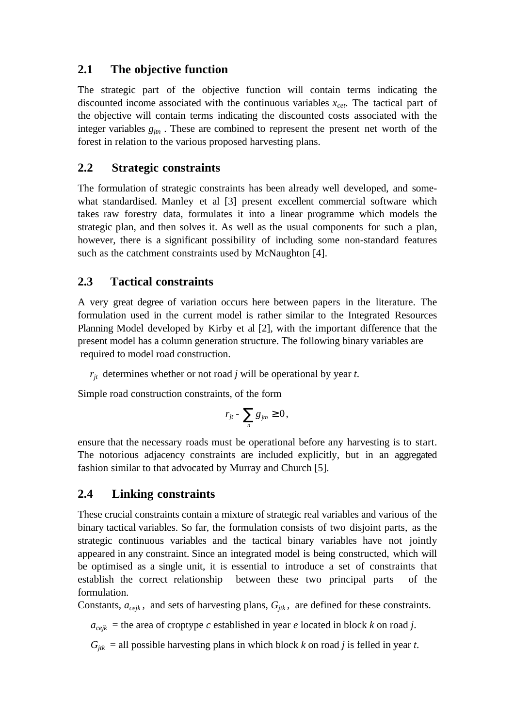#### **2.1 The objective function**

The strategic part of the objective function will contain terms indicating the discounted income associated with the continuous variables *xcet*. The tactical part of the objective will contain terms indicating the discounted costs associated with the integer variables  $g_{im}$ . These are combined to represent the present net worth of the forest in relation to the various proposed harvesting plans.

#### **2.2 Strategic constraints**

The formulation of strategic constraints has been already well developed, and somewhat standardised. Manley et al [3] present excellent commercial software which takes raw forestry data, formulates it into a linear programme which models the strategic plan, and then solves it. As well as the usual components for such a plan, however, there is a significant possibility of including some non-standard features such as the catchment constraints used by McNaughton [4].

#### **2.3 Tactical constraints**

A very great degree of variation occurs here between papers in the literature. The formulation used in the current model is rather similar to the Integrated Resources Planning Model developed by Kirby et al [2], with the important difference that the present model has a column generation structure. The following binary variables are required to model road construction.

 $r_{it}$  determines whether or not road *j* will be operational by year *t*.

Simple road construction constraints, of the form

$$
r_{jt} - \sum_{n} g_{jtn} \geq 0,
$$

ensure that the necessary roads must be operational before any harvesting is to start. The notorious adjacency constraints are included explicitly, but in an aggregated fashion similar to that advocated by Murray and Church [5].

#### **2.4 Linking constraints**

These crucial constraints contain a mixture of strategic real variables and various of the binary tactical variables. So far, the formulation consists of two disjoint parts, as the strategic continuous variables and the tactical binary variables have not jointly appeared in any constraint. Since an integrated model is being constructed, which will be optimised as a single unit, it is essential to introduce a set of constraints that establish the correct relationship between these two principal parts of the formulation.

Constants,  $a_{\text{ceik}}$ , and sets of harvesting plans,  $G_{ik}$ , are defined for these constraints.

 $a_{\text{cejk}}$  = the area of croptype *c* established in year *e* located in block *k* on road *j*.

 $G_{jtk}$  = all possible harvesting plans in which block *k* on road *j* is felled in year *t*.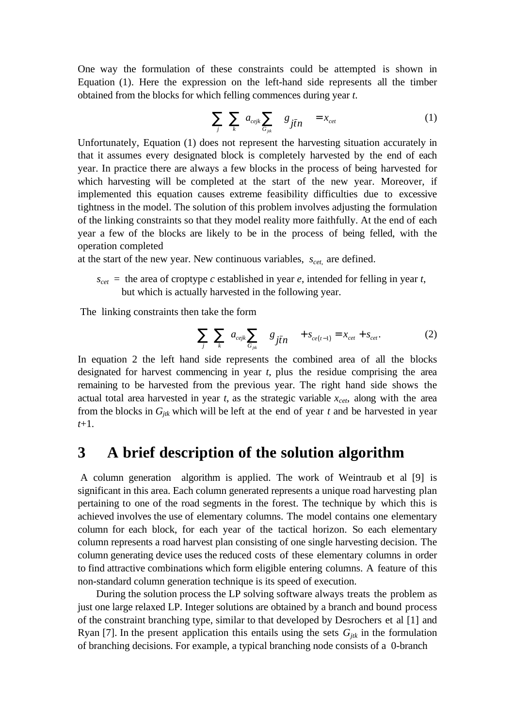One way the formulation of these constraints could be attempted is shown in Equation (1). Here the expression on the left-hand side represents all the timber obtained from the blocks for which felling commences during year *t*.

$$
\sum_{j} \sum_{k} \left[ a_{\text{cejk}} \sum_{G_{jk}} \left( g_{j\bar{t}n} \right) \right] = x_{\text{ceit}} \tag{1}
$$

Unfortunately, Equation (1) does not represent the harvesting situation accurately in that it assumes every designated block is completely harvested by the end of each year. In practice there are always a few blocks in the process of being harvested for which harvesting will be completed at the start of the new year. Moreover, if implemented this equation causes extreme feasibility difficulties due to excessive tightness in the model. The solution of this problem involves adjusting the formulation of the linking constraints so that they model reality more faithfully. At the end of each year a few of the blocks are likely to be in the process of being felled, with the operation completed

at the start of the new year. New continuous variables, *scet*, are defined.

 $s_{cet}$  = the area of croptype *c* established in year *e*, intended for felling in year *t*, but which is actually harvested in the following year.

The linking constraints then take the form

$$
\sum_{j} \sum_{k} \left[ a_{\text{cejk}} \sum_{G_{jk}} \left( g_{j\bar{t}n} \right) \right] + s_{\text{ce}(t-1)} = x_{\text{ce}t} + s_{\text{ce}t}.
$$
 (2)

In equation 2 the left hand side represents the combined area of all the blocks designated for harvest commencing in year *t*, plus the residue comprising the area remaining to be harvested from the previous year. The right hand side shows the actual total area harvested in year  $t$ , as the strategic variable  $x_{\text{c}et}$ , along with the area from the blocks in  $G_{jk}$  which will be left at the end of year  $t$  and be harvested in year *t*+1.

### **3 A brief description of the solution algorithm**

 A column generation algorithm is applied. The work of Weintraub et al [9] is significant in this area. Each column generated represents a unique road harvesting plan pertaining to one of the road segments in the forest. The technique by which this is achieved involves the use of elementary columns. The model contains one elementary column for each block, for each year of the tactical horizon. So each elementary column represents a road harvest plan consisting of one single harvesting decision. The column generating device uses the reduced costs of these elementary columns in order to find attractive combinations which form eligible entering columns. A feature of this non-standard column generation technique is its speed of execution.

 During the solution process the LP solving software always treats the problem as just one large relaxed LP. Integer solutions are obtained by a branch and bound process of the constraint branching type, similar to that developed by Desrochers et al [1] and Ryan [7]. In the present application this entails using the sets  $G_{ik}$  in the formulation of branching decisions. For example, a typical branching node consists of a 0-branch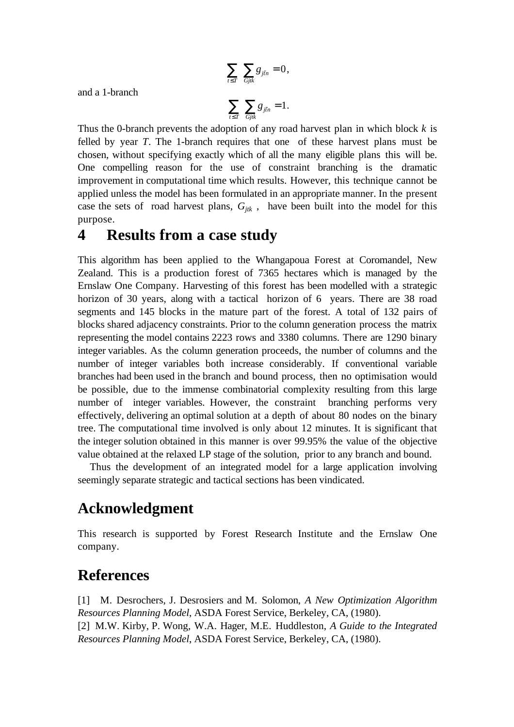$$
\sum_{t \leq T} \sum_{Gjtk} g_{j\bar{t}n} = 0,
$$

and a 1-branch

$$
\sum_{t\leq T}\ \sum_{Gjtk}g_{j\bar{t}n}=1.
$$

Thus the 0-branch prevents the adoption of any road harvest plan in which block *k* is felled by year *T*. The 1-branch requires that one of these harvest plans must be chosen, without specifying exactly which of all the many eligible plans this will be. One compelling reason for the use of constraint branching is the dramatic improvement in computational time which results. However, this technique cannot be applied unless the model has been formulated in an appropriate manner. In the present case the sets of road harvest plans,  $G_{ik}$ , have been built into the model for this purpose.

#### **4 Results from a case study**

This algorithm has been applied to the Whangapoua Forest at Coromandel, New Zealand. This is a production forest of 7365 hectares which is managed by the Ernslaw One Company. Harvesting of this forest has been modelled with a strategic horizon of 30 years, along with a tactical horizon of 6 years. There are 38 road segments and 145 blocks in the mature part of the forest. A total of 132 pairs of blocks shared adjacency constraints. Prior to the column generation process the matrix representing the model contains 2223 rows and 3380 columns. There are 1290 binary integer variables. As the column generation proceeds, the number of columns and the number of integer variables both increase considerably. If conventional variable branches had been used in the branch and bound process, then no optimisation would be possible, due to the immense combinatorial complexity resulting from this large number of integer variables. However, the constraint branching performs very effectively, delivering an optimal solution at a depth of about 80 nodes on the binary tree. The computational time involved is only about 12 minutes. It is significant that the integer solution obtained in this manner is over 99.95% the value of the objective value obtained at the relaxed LP stage of the solution, prior to any branch and bound.

Thus the development of an integrated model for a large application involving seemingly separate strategic and tactical sections has been vindicated.

## **Acknowledgment**

This research is supported by Forest Research Institute and the Ernslaw One company.

## **References**

[1] M. Desrochers, J. Desrosiers and M. Solomon, *A New Optimization Algorithm Resources Planning Model*, ASDA Forest Service, Berkeley, CA, (1980). [2] M.W. Kirby, P. Wong, W.A. Hager, M.E. Huddleston, *A Guide to the Integrated Resources Planning Model*, ASDA Forest Service, Berkeley, CA, (1980).